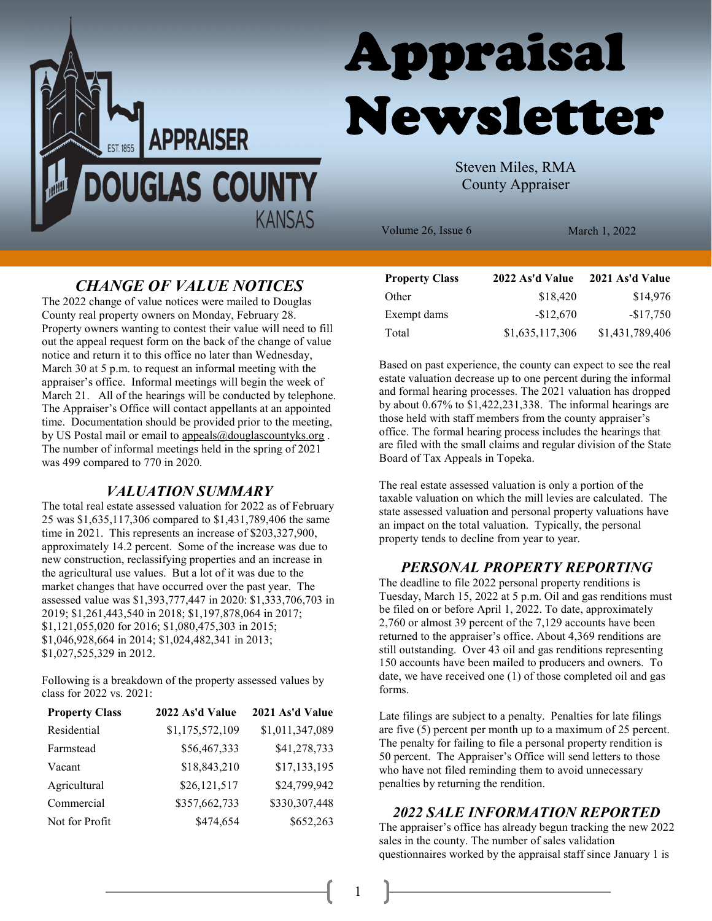



Steven Miles, RMA County Appraiser

Volume 26, Issue 6 March 1, 2022

# CHANGE OF VALUE NOTICES

The 2022 change of value notices were mailed to Douglas County real property owners on Monday, February 28. Property owners wanting to contest their value will need to fill out the appeal request form on the back of the change of value notice and return it to this office no later than Wednesday, March 30 at 5 p.m. to request an informal meeting with the appraiser's office. Informal meetings will begin the week of March 21. All of the hearings will be conducted by telephone. The Appraiser's Office will contact appellants at an appointed time. Documentation should be provided prior to the meeting, by US Postal mail or email to appeals@douglascountyks.org . The number of informal meetings held in the spring of 2021 was 499 compared to 770 in 2020.

### VALUATION SUMMARY

The total real estate assessed valuation for 2022 as of February 25 was \$1,635,117,306 compared to \$1,431,789,406 the same time in 2021. This represents an increase of \$203,327,900, approximately 14.2 percent. Some of the increase was due to new construction, reclassifying properties and an increase in the agricultural use values. But a lot of it was due to the market changes that have occurred over the past year. The assessed value was \$1,393,777,447 in 2020: \$1,333,706,703 in 2019; \$1,261,443,540 in 2018; \$1,197,878,064 in 2017; \$1,121,055,020 for 2016; \$1,080,475,303 in 2015; \$1,046,928,664 in 2014; \$1,024,482,341 in 2013; \$1,027,525,329 in 2012.

Following is a breakdown of the property assessed values by class for 2022 vs. 2021:

| <b>Property Class</b> | 2022 As'd Value | 2021 As'd Value |
|-----------------------|-----------------|-----------------|
| Residential           | \$1,175,572,109 | \$1,011,347,089 |
| Farmstead             | \$56,467,333    | \$41,278,733    |
| Vacant                | \$18,843,210    | \$17,133,195    |
| Agricultural          | \$26,121,517    | \$24,799,942    |
| Commercial            | \$357,662,733   | \$330,307,448   |
| Not for Profit        | \$474,654       | \$652,263       |

| <b>Property Class</b> | 2022 As'd Value | 2021 As'd Value |
|-----------------------|-----------------|-----------------|
| Other                 | \$18,420        | \$14,976        |
| Exempt dams           | $-$12,670$      | $-$17,750$      |
| Total                 | \$1,635,117,306 | \$1,431,789,406 |

Based on past experience, the county can expect to see the real estate valuation decrease up to one percent during the informal and formal hearing processes. The 2021 valuation has dropped by about 0.67% to \$1,422,231,338. The informal hearings are those held with staff members from the county appraiser's office. The formal hearing process includes the hearings that are filed with the small claims and regular division of the State Board of Tax Appeals in Topeka.

The real estate assessed valuation is only a portion of the taxable valuation on which the mill levies are calculated. The state assessed valuation and personal property valuations have an impact on the total valuation. Typically, the personal property tends to decline from year to year.

### PERSONAL PROPERTY REPORTING

The deadline to file 2022 personal property renditions is Tuesday, March 15, 2022 at 5 p.m. Oil and gas renditions must be filed on or before April 1, 2022. To date, approximately 2,760 or almost 39 percent of the 7,129 accounts have been returned to the appraiser's office. About 4,369 renditions are still outstanding. Over 43 oil and gas renditions representing 150 accounts have been mailed to producers and owners. To date, we have received one (1) of those completed oil and gas forms.

Late filings are subject to a penalty. Penalties for late filings are five (5) percent per month up to a maximum of 25 percent. The penalty for failing to file a personal property rendition is 50 percent. The Appraiser's Office will send letters to those who have not filed reminding them to avoid unnecessary penalties by returning the rendition.

#### 2022 SALE INFORMATION REPORTED

The appraiser's office has already begun tracking the new 2022 sales in the county. The number of sales validation questionnaires worked by the appraisal staff since January 1 is

1